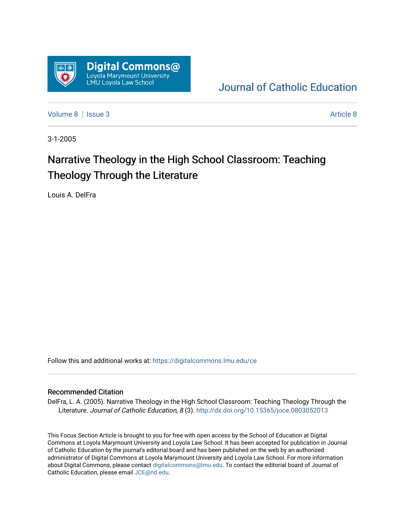

[Journal of Catholic Education](https://digitalcommons.lmu.edu/ce) 

[Volume 8](https://digitalcommons.lmu.edu/ce/vol8) | [Issue 3](https://digitalcommons.lmu.edu/ce/vol8/iss3) Article 8

3-1-2005

# Narrative Theology in the High School Classroom: Teaching Theology Through the Literature

Louis A. DelFra

Follow this and additional works at: [https://digitalcommons.lmu.edu/ce](https://digitalcommons.lmu.edu/ce?utm_source=digitalcommons.lmu.edu%2Fce%2Fvol8%2Fiss3%2F8&utm_medium=PDF&utm_campaign=PDFCoverPages)

### Recommended Citation

DelFra, L. A. (2005). Narrative Theology in the High School Classroom: Teaching Theology Through the Literature. Journal of Catholic Education, 8 (3). http://dx.doi.org/10.15365/joce.0803052013

This Focus Section Article is brought to you for free with open access by the School of Education at Digital Commons at Loyola Marymount University and Loyola Law School. It has been accepted for publication in Journal of Catholic Education by the journal's editorial board and has been published on the web by an authorized administrator of Digital Commons at Loyola Marymount University and Loyola Law School. For more information about Digital Commons, please contact [digitalcommons@lmu.edu](mailto:digitalcommons@lmu.edu). To contact the editorial board of Journal of Catholic Education, please email [JCE@nd.edu.](mailto:JCE@nd.edu)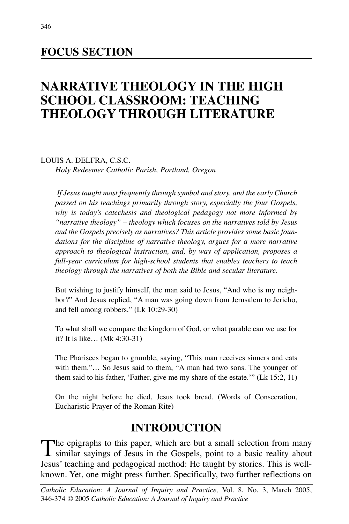# **FOCUS SECTION**

# **NARRATIVE THEOLOGY IN THE HIGH SCHOOL CLASSROOM: TEACHING THEOLOGY THROUGH LITERATURE**

LOUIS A. DELFRA, C.S.C. *Holy Redeemer Catholic Parish, Portland, Oregon*

*If Jesus taught most frequently through symbol and story, and the early Church passed on his teachings primarily through story, especially the four Gospels, why is today's catechesis and theological pedagogy not more informed by "narrative theology" – theology which focuses on the narratives told by Jesus and the Gospels precisely as narratives? This article provides some basic foundations for the discipline of narrative theology, argues for a more narrative approach to theological instruction, and, by way of application, proposes a full-year curriculum for high-school students that enables teachers to teach theology through the narratives of both the Bible and secular literature.*

But wishing to justify himself, the man said to Jesus, "And who is my neighbor?" And Jesus replied, "A man was going down from Jerusalem to Jericho, and fell among robbers." (Lk 10:29-30)

To what shall we compare the kingdom of God, or what parable can we use for it? It is like… (Mk 4:30-31)

The Pharisees began to grumble, saying, "This man receives sinners and eats with them."… So Jesus said to them, "A man had two sons. The younger of them said to his father, 'Father, give me my share of the estate.'" (Lk 15:2, 11)

On the night before he died, Jesus took bread. (Words of Consecration, Eucharistic Prayer of the Roman Rite)

# **INTRODUCTION**

The epigraphs to this paper, which are but a small selection from many<br>similar sayings of Jesus in the Gospels, point to a basic reality about Jesus' teaching and pedagogical method: He taught by stories. This is wellknown. Yet, one might press further. Specifically, two further reflections on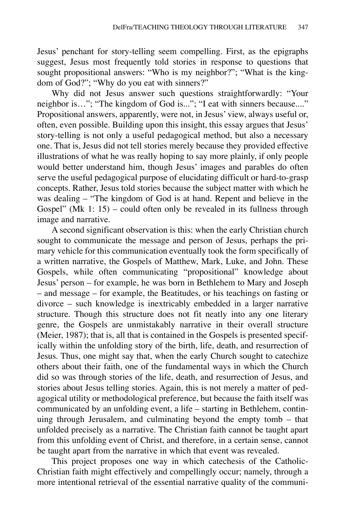Jesus' penchant for story-telling seem compelling. First, as the epigraphs suggest, Jesus most frequently told stories in response to questions that sought propositional answers: "Who is my neighbor?"; "What is the kingdom of God?"; "Why do you eat with sinners?"

Why did not Jesus answer such questions straightforwardly: "Your neighbor is…"; "The kingdom of God is..."; "I eat with sinners because...." Propositional answers, apparently, were not, in Jesus' view, always useful or, often, even possible. Building upon this insight, this essay argues that Jesus' story-telling is not only a useful pedagogical method, but also a necessary one. That is, Jesus did not tell stories merely because they provided effective illustrations of what he was really hoping to say more plainly, if only people would better understand him, though Jesus' images and parables do often serve the useful pedagogical purpose of elucidating difficult or hard-to-grasp concepts. Rather, Jesus told stories because the subject matter with which he was dealing – "The kingdom of God is at hand. Repent and believe in the Gospel" (Mk 1: 15) – could often only be revealed in its fullness through image and narrative.

A second significant observation is this: when the early Christian church sought to communicate the message and person of Jesus, perhaps the primary vehicle for this communication eventually took the form specifically of a written narrative, the Gospels of Matthew, Mark, Luke, and John. These Gospels, while often communicating "propositional" knowledge about Jesus' person – for example, he was born in Bethlehem to Mary and Joseph – and message – for example, the Beatitudes, or his teachings on fasting or divorce – such knowledge is inextricably embedded in a larger narrative structure. Though this structure does not fit neatly into any one literary genre, the Gospels are unmistakably narrative in their overall structure (Meier, 1987); that is, all that is contained in the Gospels is presented specifically within the unfolding story of the birth, life, death, and resurrection of Jesus. Thus, one might say that, when the early Church sought to catechize others about their faith, one of the fundamental ways in which the Church did so was through stories of the life, death, and resurrection of Jesus, and stories about Jesus telling stories. Again, this is not merely a matter of pedagogical utility or methodological preference, but because the faith itself was communicated by an unfolding event, a life – starting in Bethlehem, continuing through Jerusalem, and culminating beyond the empty tomb – that unfolded precisely as a narrative. The Christian faith cannot be taught apart from this unfolding event of Christ, and therefore, in a certain sense, cannot be taught apart from the narrative in which that event was revealed.

This project proposes one way in which catechesis of the Catholic-Christian faith might effectively and compellingly occur; namely, through a more intentional retrieval of the essential narrative quality of the communi-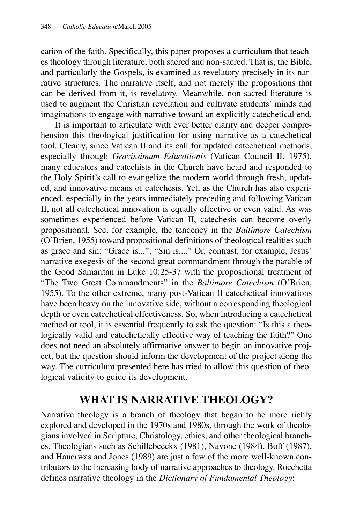cation of the faith. Specifically, this paper proposes a curriculum that teaches theology through literature, both sacred and non-sacred. That is, the Bible, and particularly the Gospels, is examined as revelatory precisely in its narrative structures. The narrative itself, and not merely the propositions that can be derived from it, is revelatory. Meanwhile, non-sacred literature is used to augment the Christian revelation and cultivate students' minds and imaginations to engage with narrative toward an explicitly catechetical end.

It is important to articulate with ever better clarity and deeper comprehension this theological justification for using narrative as a catechetical tool. Clearly, since Vatican II and its call for updated catechetical methods, especially through *Gravissimum Educationis* (Vatican Council II, 1975), many educators and catechists in the Church have heard and responded to the Holy Spirit's call to evangelize the modern world through fresh, updated, and innovative means of catechesis. Yet, as the Church has also experienced, especially in the years immediately preceding and following Vatican II, not all catechetical innovation is equally effective or even valid. As was sometimes experienced before Vatican II, catechesis can become overly propositional. See, for example, the tendency in the *Baltimore Catechism* (O'Brien, 1955) toward propositional definitions of theological realities such as grace and sin: "Grace is..."; "Sin is...." Or, contrast, for example, Jesus' narrative exegesis of the second great commandment through the parable of the Good Samaritan in Luke 10:25-37 with the propositional treatment of "The Two Great Commandments" in the *Baltimore Catechism* (O'Brien, 1955). To the other extreme, many post-Vatican II catechetical innovations have been heavy on the innovative side, without a corresponding theological depth or even catechetical effectiveness. So, when introducing a catechetical method or tool, it is essential frequently to ask the question: "Is this a theologically valid and catechetically effective way of teaching the faith?" One does not need an absolutely affirmative answer to begin an innovative project, but the question should inform the development of the project along the way. The curriculum presented here has tried to allow this question of theological validity to guide its development.

# **WHAT IS NARRATIVE THEOLOGY?**

Narrative theology is a branch of theology that began to be more richly explored and developed in the 1970s and 1980s, through the work of theologians involved in Scripture, Christology, ethics, and other theological branches. Theologians such as Schillebeeckx (1981), Navone (1984), Boff (1987), and Hauerwas and Jones (1989) are just a few of the more well-known contributors to the increasing body of narrative approaches to theology. Rocchetta defines narrative theology in the *Dictionary of Fundamental Theology*: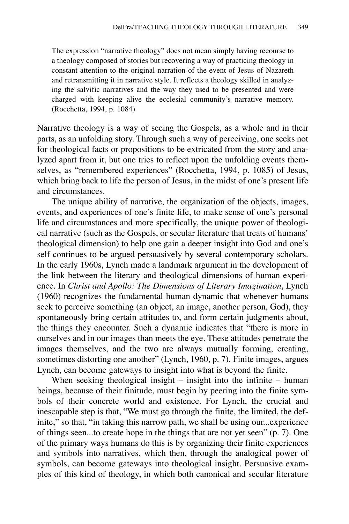The expression "narrative theology" does not mean simply having recourse to a theology composed of stories but recovering a way of practicing theology in constant attention to the original narration of the event of Jesus of Nazareth and retransmitting it in narrative style. It reflects a theology skilled in analyzing the salvific narratives and the way they used to be presented and were charged with keeping alive the ecclesial community's narrative memory. (Rocchetta, 1994, p. 1084)

Narrative theology is a way of seeing the Gospels, as a whole and in their parts, as an unfolding story. Through such a way of perceiving, one seeks not for theological facts or propositions to be extricated from the story and analyzed apart from it, but one tries to reflect upon the unfolding events themselves, as "remembered experiences" (Rocchetta, 1994, p. 1085) of Jesus, which bring back to life the person of Jesus, in the midst of one's present life and circumstances.

The unique ability of narrative, the organization of the objects, images, events, and experiences of one's finite life, to make sense of one's personal life and circumstances and more specifically, the unique power of theological narrative (such as the Gospels, or secular literature that treats of humans' theological dimension) to help one gain a deeper insight into God and one's self continues to be argued persuasively by several contemporary scholars. In the early 1960s, Lynch made a landmark argument in the development of the link between the literary and theological dimensions of human experience. In *Christ and Apollo: The Dimensions of Literary Imagination*, Lynch (1960) recognizes the fundamental human dynamic that whenever humans seek to perceive something (an object, an image, another person, God), they spontaneously bring certain attitudes to, and form certain judgments about, the things they encounter. Such a dynamic indicates that "there is more in ourselves and in our images than meets the eye. These attitudes penetrate the images themselves, and the two are always mutually forming, creating, sometimes distorting one another" (Lynch, 1960, p. 7). Finite images, argues Lynch, can become gateways to insight into what is beyond the finite.

When seeking theological insight – insight into the infinite – human beings, because of their finitude, must begin by peering into the finite symbols of their concrete world and existence. For Lynch, the crucial and inescapable step is that, "We must go through the finite, the limited, the definite," so that, "in taking this narrow path, we shall be using our...experience of things seen...to create hope in the things that are not yet seen" (p. 7). One of the primary ways humans do this is by organizing their finite experiences and symbols into narratives, which then, through the analogical power of symbols, can become gateways into theological insight. Persuasive examples of this kind of theology, in which both canonical and secular literature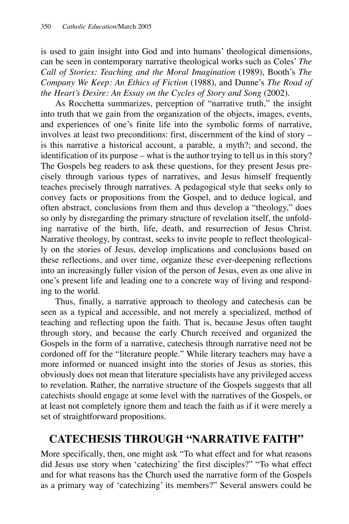is used to gain insight into God and into humans' theological dimensions, can be seen in contemporary narrative theological works such as Coles' *The Call of Stories: Teaching and the Moral Imagination* (1989), Booth's *The Company We Keep: An Ethics of Fiction* (1988), and Dunne's *The Road of the Heart's Desire: An Essay on the Cycles of Story and Song* (2002).

As Rocchetta summarizes, perception of "narrative truth," the insight into truth that we gain from the organization of the objects, images, events, and experiences of one's finite life into the symbolic forms of narrative, involves at least two preconditions: first, discernment of the kind of story – is this narrative a historical account, a parable, a myth?; and second, the identification of its purpose – what is the author trying to tell us in this story? The Gospels beg readers to ask these questions, for they present Jesus precisely through various types of narratives, and Jesus himself frequently teaches precisely through narratives. A pedagogical style that seeks only to convey facts or propositions from the Gospel, and to deduce logical, and often abstract, conclusions from them and thus develop a "theology," does so only by disregarding the primary structure of revelation itself, the unfolding narrative of the birth, life, death, and resurrection of Jesus Christ. Narrative theology, by contrast, seeks to invite people to reflect theologically on the stories of Jesus, develop implications and conclusions based on these reflections, and over time, organize these ever-deepening reflections into an increasingly fuller vision of the person of Jesus, even as one alive in one's present life and leading one to a concrete way of living and responding to the world.

Thus, finally, a narrative approach to theology and catechesis can be seen as a typical and accessible, and not merely a specialized, method of teaching and reflecting upon the faith. That is, because Jesus often taught through story, and because the early Church received and organized the Gospels in the form of a narrative, catechesis through narrative need not be cordoned off for the "literature people." While literary teachers may have a more informed or nuanced insight into the stories of Jesus as stories, this obviously does not mean that literature specialists have any privileged access to revelation. Rather, the narrative structure of the Gospels suggests that all catechists should engage at some level with the narratives of the Gospels, or at least not completely ignore them and teach the faith as if it were merely a set of straightforward propositions.

# **CATECHESIS THROUGH "NARRATIVE FAITH"**

More specifically, then, one might ask "To what effect and for what reasons did Jesus use story when 'catechizing' the first disciples?" "To what effect and for what reasons has the Church used the narrative form of the Gospels as a primary way of 'catechizing' its members?" Several answers could be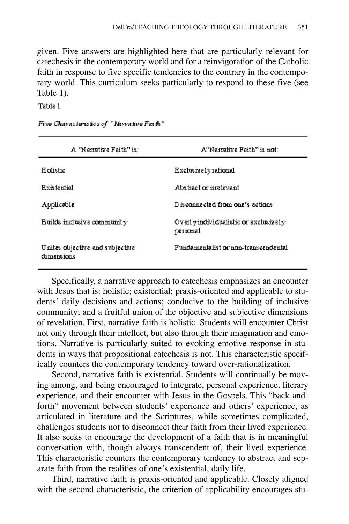given. Five answers are highlighted here that are particularly relevant for catechesis in the contemporary world and for a reinvigoration of the Catholic faith in response to five specific tendencies to the contrary in the contemporary world. This curriculum seeks particularly to respond to these five (see Table 1).

Table 1

| A 'Nanative Faith'' is:                       | A"Narrative Faith" is not:                        |
|-----------------------------------------------|---------------------------------------------------|
| <b>Holistic</b>                               | Exclusively rational                              |
| Existential                                   | Abstract or intelevant.                           |
| Applicable                                    | Disconnected from one's actions.                  |
| Builds inclusive community                    | Overly individualistic or exclusively<br>personal |
| Unites objective and subjective<br>dimensions | Fundamentalist or non-transcendental              |

Five Characteristics of "Narrative Fai h"

Specifically, a narrative approach to catechesis emphasizes an encounter with Jesus that is: holistic; existential; praxis-oriented and applicable to students' daily decisions and actions; conducive to the building of inclusive community; and a fruitful union of the objective and subjective dimensions of revelation. First, narrative faith is holistic. Students will encounter Christ not only through their intellect, but also through their imagination and emotions. Narrative is particularly suited to evoking emotive response in students in ways that propositional catechesis is not. This characteristic specifically counters the contemporary tendency toward over-rationalization.

Second, narrative faith is existential. Students will continually be moving among, and being encouraged to integrate, personal experience, literary experience, and their encounter with Jesus in the Gospels. This "back-andforth" movement between students' experience and others' experience, as articulated in literature and the Scriptures, while sometimes complicated, challenges students not to disconnect their faith from their lived experience. It also seeks to encourage the development of a faith that is in meaningful conversation with, though always transcendent of, their lived experience. This characteristic counters the contemporary tendency to abstract and separate faith from the realities of one's existential, daily life.

Third, narrative faith is praxis-oriented and applicable. Closely aligned with the second characteristic, the criterion of applicability encourages stu-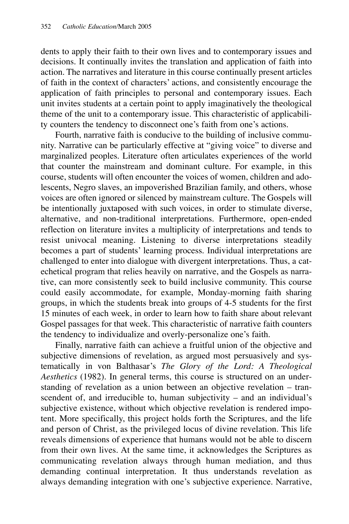dents to apply their faith to their own lives and to contemporary issues and decisions. It continually invites the translation and application of faith into action. The narratives and literature in this course continually present articles of faith in the context of characters' actions, and consistently encourage the application of faith principles to personal and contemporary issues. Each unit invites students at a certain point to apply imaginatively the theological theme of the unit to a contemporary issue. This characteristic of applicability counters the tendency to disconnect one's faith from one's actions.

Fourth, narrative faith is conducive to the building of inclusive community. Narrative can be particularly effective at "giving voice" to diverse and marginalized peoples. Literature often articulates experiences of the world that counter the mainstream and dominant culture. For example, in this course, students will often encounter the voices of women, children and adolescents, Negro slaves, an impoverished Brazilian family, and others, whose voices are often ignored or silenced by mainstream culture. The Gospels will be intentionally juxtaposed with such voices, in order to stimulate diverse, alternative, and non-traditional interpretations. Furthermore, open-ended reflection on literature invites a multiplicity of interpretations and tends to resist univocal meaning. Listening to diverse interpretations steadily becomes a part of students' learning process. Individual interpretations are challenged to enter into dialogue with divergent interpretations. Thus, a catechetical program that relies heavily on narrative, and the Gospels as narrative, can more consistently seek to build inclusive community. This course could easily accommodate, for example, Monday-morning faith sharing groups, in which the students break into groups of 4-5 students for the first 15 minutes of each week, in order to learn how to faith share about relevant Gospel passages for that week. This characteristic of narrative faith counters the tendency to individualize and overly-personalize one's faith.

Finally, narrative faith can achieve a fruitful union of the objective and subjective dimensions of revelation, as argued most persuasively and systematically in von Balthasar's *The Glory of the Lord: A Theological Aesthetics* (1982). In general terms, this course is structured on an understanding of revelation as a union between an objective revelation – transcendent of, and irreducible to, human subjectivity – and an individual's subjective existence, without which objective revelation is rendered impotent. More specifically, this project holds forth the Scriptures, and the life and person of Christ, as the privileged locus of divine revelation. This life reveals dimensions of experience that humans would not be able to discern from their own lives. At the same time, it acknowledges the Scriptures as communicating revelation always through human mediation, and thus demanding continual interpretation. It thus understands revelation as always demanding integration with one's subjective experience. Narrative,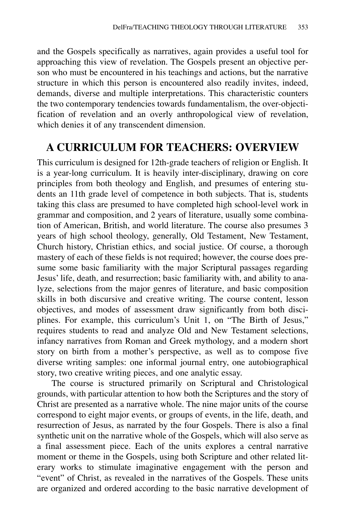and the Gospels specifically as narratives, again provides a useful tool for approaching this view of revelation. The Gospels present an objective person who must be encountered in his teachings and actions, but the narrative structure in which this person is encountered also readily invites, indeed, demands, diverse and multiple interpretations. This characteristic counters the two contemporary tendencies towards fundamentalism, the over-objectification of revelation and an overly anthropological view of revelation, which denies it of any transcendent dimension.

## **A CURRICULUM FOR TEACHERS: OVERVIEW**

This curriculum is designed for 12th-grade teachers of religion or English. It is a year-long curriculum. It is heavily inter-disciplinary, drawing on core principles from both theology and English, and presumes of entering students an 11th grade level of competence in both subjects. That is, students taking this class are presumed to have completed high school-level work in grammar and composition, and 2 years of literature, usually some combination of American, British, and world literature. The course also presumes 3 years of high school theology, generally, Old Testament, New Testament, Church history, Christian ethics, and social justice. Of course, a thorough mastery of each of these fields is not required; however, the course does presume some basic familiarity with the major Scriptural passages regarding Jesus' life, death, and resurrection; basic familiarity with, and ability to analyze, selections from the major genres of literature, and basic composition skills in both discursive and creative writing. The course content, lesson objectives, and modes of assessment draw significantly from both disciplines. For example, this curriculum's Unit 1, on "The Birth of Jesus," requires students to read and analyze Old and New Testament selections, infancy narratives from Roman and Greek mythology, and a modern short story on birth from a mother's perspective, as well as to compose five diverse writing samples: one informal journal entry, one autobiographical story, two creative writing pieces, and one analytic essay.

The course is structured primarily on Scriptural and Christological grounds, with particular attention to how both the Scriptures and the story of Christ are presented as a narrative whole. The nine major units of the course correspond to eight major events, or groups of events, in the life, death, and resurrection of Jesus, as narrated by the four Gospels. There is also a final synthetic unit on the narrative whole of the Gospels, which will also serve as a final assessment piece. Each of the units explores a central narrative moment or theme in the Gospels, using both Scripture and other related literary works to stimulate imaginative engagement with the person and "event" of Christ, as revealed in the narratives of the Gospels. These units are organized and ordered according to the basic narrative development of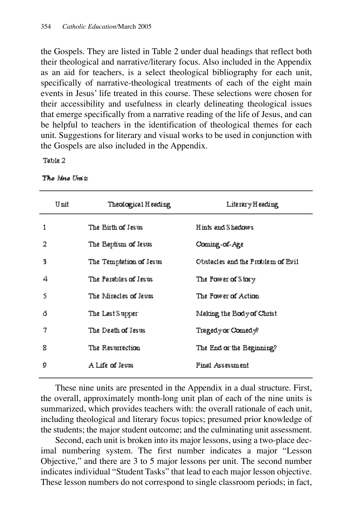the Gospels. They are listed in Table 2 under dual headings that reflect both their theological and narrative/literary focus. Also included in the Appendix as an aid for teachers, is a select theological bibliography for each unit, specifically of narrative-theological treatments of each of the eight main events in Jesus' life treated in this course. These selections were chosen for their accessibility and usefulness in clearly delineating theological issues that emerge specifically from a narrative reading of the life of Jesus, and can be helpful to teachers in the identification of theological themes for each unit. Suggestions for literary and visual works to be used in conjunction with the Gospels are also included in the Appendix.

Table 2

|    | Unit | Theological Heading     | Literary Heading                  |
|----|------|-------------------------|-----------------------------------|
| 1  |      | The Birth of Jesus      | Hints and Shadows                 |
| 2  |      | The Baptism of Jesus    | Coming-of-Age                     |
| 3  |      | The Temptation of Jesus | Obstacles and the Problem of Evil |
| 4  |      | The Parables of Jesus   | The Power of Story:               |
| S  |      | The Miracles of Jesus   | The Power of Action               |
| ı5 |      | The Last Supper         | Making the Body of Christ         |
| 7  |      | The Death of Jesus.     | Tragedy or Comedy?                |
| R. |      | The Resurrection        | The End or the Beginning?         |
| g  |      | A Life of Jesus         | Final Assessment                  |

The Nue Units

These nine units are presented in the Appendix in a dual structure. First, the overall, approximately month-long unit plan of each of the nine units is summarized, which provides teachers with: the overall rationale of each unit, including theological and literary focus topics; presumed prior knowledge of the students; the major student outcome; and the culminating unit assessment.

Second, each unit is broken into its major lessons, using a two-place decimal numbering system. The first number indicates a major "Lesson Objective," and there are 3 to 5 major lessons per unit. The second number indicates individual "Student Tasks" that lead to each major lesson objective. These lesson numbers do not correspond to single classroom periods; in fact,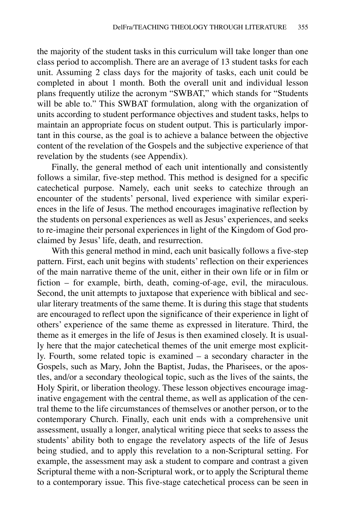the majority of the student tasks in this curriculum will take longer than one class period to accomplish. There are an average of 13 student tasks for each unit. Assuming 2 class days for the majority of tasks, each unit could be completed in about 1 month. Both the overall unit and individual lesson plans frequently utilize the acronym "SWBAT," which stands for "Students will be able to." This SWBAT formulation, along with the organization of units according to student performance objectives and student tasks, helps to maintain an appropriate focus on student output. This is particularly important in this course, as the goal is to achieve a balance between the objective content of the revelation of the Gospels and the subjective experience of that revelation by the students (see Appendix).

Finally, the general method of each unit intentionally and consistently follows a similar, five-step method. This method is designed for a specific catechetical purpose. Namely, each unit seeks to catechize through an encounter of the students' personal, lived experience with similar experiences in the life of Jesus. The method encourages imaginative reflection by the students on personal experiences as well as Jesus' experiences, and seeks to re-imagine their personal experiences in light of the Kingdom of God proclaimed by Jesus' life, death, and resurrection.

With this general method in mind, each unit basically follows a five-step pattern. First, each unit begins with students' reflection on their experiences of the main narrative theme of the unit, either in their own life or in film or fiction – for example, birth, death, coming-of-age, evil, the miraculous. Second, the unit attempts to juxtapose that experience with biblical and secular literary treatments of the same theme. It is during this stage that students are encouraged to reflect upon the significance of their experience in light of others' experience of the same theme as expressed in literature. Third, the theme as it emerges in the life of Jesus is then examined closely. It is usually here that the major catechetical themes of the unit emerge most explicitly. Fourth, some related topic is examined – a secondary character in the Gospels, such as Mary, John the Baptist, Judas, the Pharisees, or the apostles, and/or a secondary theological topic, such as the lives of the saints, the Holy Spirit, or liberation theology. These lesson objectives encourage imaginative engagement with the central theme, as well as application of the central theme to the life circumstances of themselves or another person, or to the contemporary Church. Finally, each unit ends with a comprehensive unit assessment, usually a longer, analytical writing piece that seeks to assess the students' ability both to engage the revelatory aspects of the life of Jesus being studied, and to apply this revelation to a non-Scriptural setting. For example, the assessment may ask a student to compare and contrast a given Scriptural theme with a non-Scriptural work, or to apply the Scriptural theme to a contemporary issue. This five-stage catechetical process can be seen in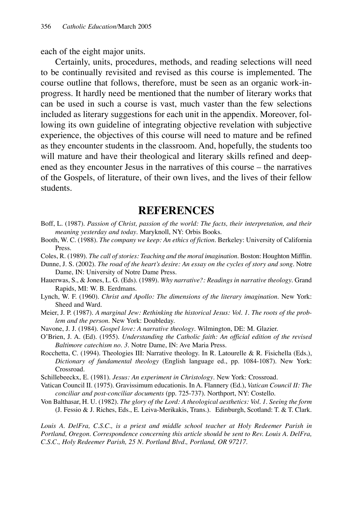each of the eight major units.

Certainly, units, procedures, methods, and reading selections will need to be continually revisited and revised as this course is implemented. The course outline that follows, therefore, must be seen as an organic work-inprogress. It hardly need be mentioned that the number of literary works that can be used in such a course is vast, much vaster than the few selections included as literary suggestions for each unit in the appendix. Moreover, following its own guideline of integrating objective revelation with subjective experience, the objectives of this course will need to mature and be refined as they encounter students in the classroom. And, hopefully, the students too will mature and have their theological and literary skills refined and deepened as they encounter Jesus in the narratives of this course – the narratives of the Gospels, of literature, of their own lives, and the lives of their fellow students.

## **REFERENCES**

- Boff, L. (1987). *Passion of Christ, passion of the world: The facts, their interpretation, and their meaning yesterday and today*. Maryknoll, NY: Orbis Books.
- Booth, W. C. (1988). *The company we keep: An ethics of fiction*. Berkeley: University of California Press.
- Coles, R. (1989). *The call of stories: Teaching and the moral imagination*. Boston: Houghton Mifflin.

Dunne, J. S. (2002). *The road of the heart's desire: An essay on the cycles of story and song*. Notre Dame, IN: University of Notre Dame Press.

- Hauerwas, S., & Jones, L. G. (Eds). (1989). *Why narrative?: Readings in narrative theology*. Grand Rapids, MI: W. B. Eerdmans.
- Lynch, W. F. (1960). *Christ and Apollo: The dimensions of the literary imagination*. New York: Sheed and Ward.
- Meier, J. P. (1987). *A marginal Jew: Rethinking the historical Jesus: Vol. 1. The roots of the problem and the person*. New York: Doubleday.
- Navone, J. J. (1984). *Gospel love: A narrative theology*. Wilmington, DE: M. Glazier.
- O'Brien, J. A. (Ed). (1955). *Understanding the Catholic faith: An official edition of the revised Baltimore catechism no. 3*. Notre Dame, IN: Ave Maria Press.
- Rocchetta, C. (1994). Theologies III: Narrative theology. In R. Latourelle & R. Fisichella (Eds.), *Dictionary of fundamental theology* (English language ed., pp. 1084-1087). New York: Crossroad.
- Schillebeeckx, E. (1981). *Jesus: An experiment in Christology*. New York: Crossroad.
- Vatican Council II. (1975). Gravissimum educationis. In A. Flannery (Ed.), *Vatican Council II: The conciliar and post-conciliar documents* (pp. 725-737). Northport, NY: Costello.

Von Balthasar, H. U. (1982). *The glory of the Lord: A theological aesthetics: Vol. 1. Seeing the form* (J. Fessio & J. Riches, Eds., E. Leiva-Merikakis, Trans.). Edinburgh, Scotland: T. & T. Clark.

*Louis A. DelFra, C.S.C., is a priest and middle school teacher at Holy Redeemer Parish in Portland, Oregon. Correspondence concerning this article should be sent to Rev. Louis A. DelFra, C.S.C., Holy Redeemer Parish, 25 N. Portland Blvd., Portland, OR 97217.*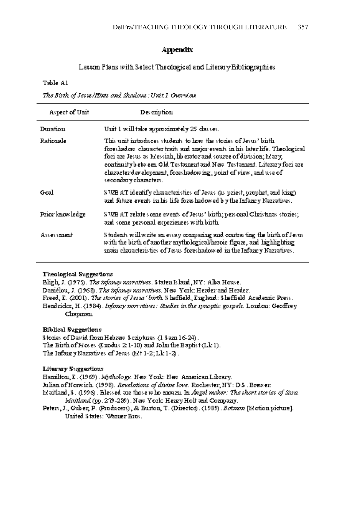### Appendix

### Lesson Plans with Select Theological and Literary Bibliographies

Table A1

The Birth of Jesus/Hints and Shadows : Unit I Cresniew

| Aspect of Uzat  | Des cziption                                                                                                                                                                                                                                                                                                                                                                                 |
|-----------------|----------------------------------------------------------------------------------------------------------------------------------------------------------------------------------------------------------------------------------------------------------------------------------------------------------------------------------------------------------------------------------------------|
| Duzation.       | Unit 1 will take approximately 25 classes.                                                                                                                                                                                                                                                                                                                                                   |
| Ratiozale       | This unit introduces students to how the stories of Jesus' birth.<br>foreshadow character traits and major events in his later life. Theological<br>foci are Jesus as Messiah, liberator and source of division; Mary,<br>continuityb etw een Old Testament and New Testament. Literary foci are<br>character development, foreshadowing, point of view, and use of<br>secondary characters. |
| Geal            | SNAB AT identify characteristics of Jesus (as priest, prophet, and king).<br>and future events in his life foreshadowed by the Infancy Narratives.                                                                                                                                                                                                                                           |
| Prior knowledge | SN&B AT relate scene events of Jesus' birth; personal Christmas stories;<br>and some personal experiences with birth.                                                                                                                                                                                                                                                                        |
| Assessment      | Students will write an essay companing and contrasting the birth of Jesus.<br>with the bizth of another mythological/heroic figure, and highlighting<br>main characteristics of Jesus foreshadowed in the Infancy Narratives.                                                                                                                                                                |

### Theological Suggestions

Bligh, J. (1975). The infancy narratives. Staten Island, NY: Alba House. Damélou, J. (1968). The infancy narratives. New York: Herder and Herder. Freed, E. (2001). The stories of Jesus 'birth. S heffield, England: S heffield. Academic Press. Hendrickx, H. (1984). Infancy narratives: Studies in the synoptic gospels. London: Geoffrey Chayznazı

**Biblical Suggestions** 

Stozies of David from Hebrew Scziptures (1 Sam 16-24). The Birth of Moses (Exodus 2:1-10) and John the Baytist (Lk 1). The Infancy Nazzatives of Jesus (Mt 1-2; Lk 1-2).

#### Literary Suggestions

Hamilton, E. (1969). Mothology. New York: New American Library.

Julian of Nonwich. (1998). Revelations of divine love. Rochester, NY: DS . Brewer:

Maitland, S. (1996). Blessed are those who anouze In Angel maker: The short stories of Soro. Maitland (pp. 279-289). New York: Henry Holt and Company.

Peters, J., Guber, P. (Producers), & Burton, T. (Director). (1989). Battern [Edotion picture]. United States: Marier Bros.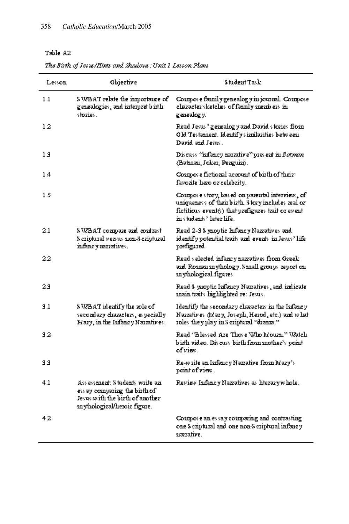### The Birth of Jesus/Hints and Shadows : Unit I Lesson Plans

| Lesson | Objective                                                                                                                           | <b>Student Task</b>                                                                                                                                                                    |
|--------|-------------------------------------------------------------------------------------------------------------------------------------|----------------------------------------------------------------------------------------------------------------------------------------------------------------------------------------|
| 1.1    | SN/BAT relate the importance of<br>genealogies, and interpret birth<br>stozies.                                                     | Compose family genealogy in journal. Compose<br>character sketches of family members in<br>genealogy.                                                                                  |
| 12     |                                                                                                                                     | Read Jesus ' genealogy and David stories from<br>Old Testament. Identify similarities between<br>David and Jesus.                                                                      |
| 13     |                                                                                                                                     | Discuss "infancy narrative" yres ent in Batssam.<br>(Batznan, Jokez; Pezguizi).                                                                                                        |
| 14     |                                                                                                                                     | Compose fictional account of birth of their<br>favozite hero or celebrity.                                                                                                             |
| 1.5    |                                                                                                                                     | Compose story, based on parental interview, of<br>usiquesess of theirbirth. Story includes real or<br>fictitious event(s) that prefigures trait or event<br>ivis tud evts? later life. |
| 2.1    | SNÆBAT compare and contrast<br>S eziptuzal versus mon-S eziptuzal<br>infancy nazzatives.                                            | Read 2-3 S ynoptic Infancy Nazzatives and<br>identify potential traits and events in Jesus' life<br>prefigured.                                                                        |
| 22     |                                                                                                                                     | Read selected infancy namatives from Greek<br>and Roman mythology. Small groups report on<br>in whological figures.                                                                    |
| 23     |                                                                                                                                     | Read S ynoptic Infancy Naziatives, and indicate<br>main traits highlighted re: Jesus.                                                                                                  |
| 3.1    | S WBAT identify the role of<br>secondary characters, especially<br>Mazy, in the Infancy Nazzatives.                                 | Identify the secondary characters in the Infancy<br>Nazzatives (Mazy, Joseph, Hezod, etc.) and what<br>roles they play in Scriptural "drama."                                          |
| 32     |                                                                                                                                     | Read "Blessed Aze Those Who Mouzu" Watch<br>birth video. Discuss birth from mother's point<br>of view.                                                                                 |
| 33     |                                                                                                                                     | Re-write an Infancy Nazzative from Mary's<br>point of view.                                                                                                                            |
| 41     | Ass essenent: Students write an<br>ess ay comparing the birth of<br>Jesus with the birth of another<br>znythological/hezoic figure. | Review Infancy Nazatives as literary whole.                                                                                                                                            |
| 42     |                                                                                                                                     | Compose an essay comparing and contrasting<br>one S cziptural and one non-S criptural infancy<br>nazzative.                                                                            |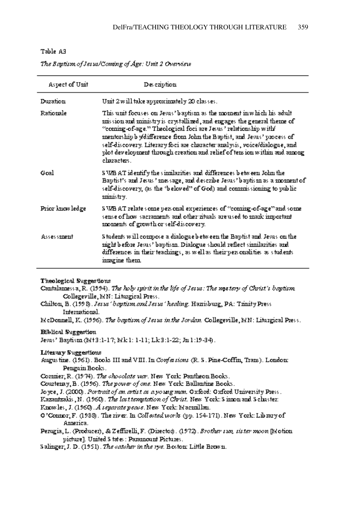÷

| The Baptism of Jesus/Coming of Age: Unit 2 Overview |  |  |  |
|-----------------------------------------------------|--|--|--|
|-----------------------------------------------------|--|--|--|

 $\sim$ 

| Aspect of Unit   | Des cziption                                                                                                                                                                                                                                                                                                                                                                                                                                                          |
|------------------|-----------------------------------------------------------------------------------------------------------------------------------------------------------------------------------------------------------------------------------------------------------------------------------------------------------------------------------------------------------------------------------------------------------------------------------------------------------------------|
| Duzation         | Uzit 2 will take approximately 20 classes.                                                                                                                                                                                                                                                                                                                                                                                                                            |
| <b>Ratiozale</b> | This unit focuses on Jesus' baytism as the moment in which his adult<br>mission and ministry is crystallized, and engages the general theme of<br>"coning-of-age." Theological foci are Jesus ' relationship with<br>mentorship b y(difference from John the Baptist, and Jesus' process of<br>self-discovery. Literary foci are character analysis, voice/dialogue, and.<br>plot development through creation and relief of tension within and annong<br>chazacters. |
| Geal             | S WB AT identify the similarities and differences between John the<br>Baptist's and Jesus ' message, and describe Jesus' baptism as a moment of '<br>self-discovery, (as the 'beloved'' of God) and connuissioning to public<br>znizustzy.                                                                                                                                                                                                                            |
| Prior knowledge  | S WB AT relate s cone yers coul experiences of "conning-of-age" and sonne<br>sense of how sacraments and other zituals are used to mark important.<br>moments of growth or self-discovery.                                                                                                                                                                                                                                                                            |
| Assessznezit     | S tudents will connoose a dialogue between the Baytist and Jesus on the<br>mght blefore Jesus? baptism. Dialogue should reflect similarities and<br>differences in their teachings, as well as their personalities as students.<br>insgine them.                                                                                                                                                                                                                      |

#### Theological Suggestions

Cantalanuss a, R. (1994). The holy spirit in the life of Jesus: The mastery of Christ's baptism. Collegeville, MN: Liturgical Press.

Chilton, B. (1998). Jesus' baptism and Jesus' healing. Hazisburg, PA: Trinity Press. International.

EdeDonnell, K. (1996). The baptism of Jesus in the Jordan. Collegeville, EAN: Liturgical Press.

### **Biblical Suggestion**

Jesus' Baptism (M+3:1-17; Mk 1: 1-11; Lk 3:1-22; Jn 1:19-34).

#### Literary Suggestions

- Augustize. (1961). Books III and VIII. In Confections (R. S. Pine-Coffin, Trans). London: Penguin Books.
- Commer, R. (1974). The chocolate way. New York: Pautheon Books.
- Courteray, B. (1996). The power of one. New York: Ballantine Books.
- Joyce, J. (2000). Portrait of an artist as a young man. Oxford: Oxford University Press.
- Kazautzakis J.N. (1960). The last temptation of Christ. New York: Sinnon and Schuster.
- Finowles, J. (1960). A separate peace. New York: Macmillan.
- O'Counor, F. (1988). The river: In Collected works (pp. 154-171). New York: Library of Azmezica.
- Perugia, L. (Producer), & Zeffirelli, F. (Director). (1972). Brother sun, sister moon [Edotion] picture]. United S tates : Paramount Pictures.
- Salinger, J. D. (1951). The catcher in the 15th Boston: Little Brown.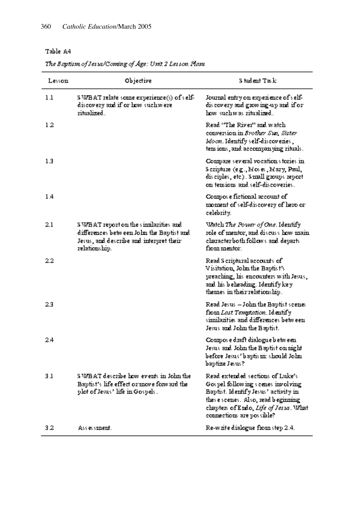### The Baptism of Jesus/Coming of Age: Unit 2 Lesson. Plans

| Lesson | Objective                                                                                                                                        | Student Task:                                                                                                                                                                                                                |
|--------|--------------------------------------------------------------------------------------------------------------------------------------------------|------------------------------------------------------------------------------------------------------------------------------------------------------------------------------------------------------------------------------|
| 1.1    | SN/BAT relate some experience(s) of self-<br>discovezy and if or how such weze.<br>zitualized.                                                   | Journal entry on experience of self-<br>discovery and growing up and if or<br>how suchwas ritualized.                                                                                                                        |
| 12     |                                                                                                                                                  | Read ''The River'' and watch.<br>conversion in Brother Sun, Sister<br>Moon. Identify self-discoveries ,<br>ters ions, and accompanying rituals.                                                                              |
| 1.3    |                                                                                                                                                  | Compare several vocations tories in<br>Scripture (e.g., Moses, Mary, Paul,<br>disciples, etc). Samell groups report<br>on tensions and self-discoveries.                                                                     |
| 14     |                                                                                                                                                  | Compose fictional account of<br>moment of self-discovery of hero or<br>celebzity.                                                                                                                                            |
| 2.1    | S WBAT report on the significatives and<br>differences between John the Baptist and<br>Jesus, and describe and interpret their:<br>relationship. | Match The Power of One. Identify<br>role of mentor, and discuss how main<br>characterboth follows and departs<br>fxoro romitor:                                                                                              |
| 2.2    |                                                                                                                                                  | Read S czivtuzal accounts of I<br>Visitation, John the Baytist's<br>preaching, his encounters with Jesus,<br>and his beheading. Identify key<br>themes in their relationship.                                                |
| 23     |                                                                                                                                                  | Read Jesus – John the Baptist scenes<br>from <i>Last Templation</i> . Identify<br>sizoilazities and differences between.<br>Jesus and John the Baptist.                                                                      |
| 24     |                                                                                                                                                  | Compose dzaft dialogue between<br>Jesus and John the Baptist on might<br>before Jesus' baytis in should John<br>baptize Jesus?                                                                                               |
| 3.1    | SN/BAT describe how events in John the<br>Baytist's life effect or move forward the<br>plot of Jesus' life in Gospels.                           | Read extended sections of Luke's<br>Gos vel following scenes involving<br>Baptist. Identify Jesus' activity in<br>thes e scenes. Also, read b eginning<br>chapters of Endo, Life of Jesus. What<br>commections are possible? |
| 32     | Ass essenent.                                                                                                                                    | Re-waite dialogue from step 2.4.                                                                                                                                                                                             |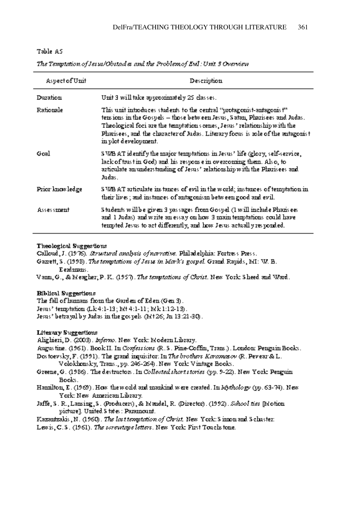| ۰.<br>ı<br>וכ<br>. . |  |
|----------------------|--|
|----------------------|--|

| Aspect of Unit   | Description                                                                                                                                                                                                                                                                                                                                  |
|------------------|----------------------------------------------------------------------------------------------------------------------------------------------------------------------------------------------------------------------------------------------------------------------------------------------------------------------------------------------|
| Duzation         | Unit 3 will take approximately 25 classes.                                                                                                                                                                                                                                                                                                   |
| <b>Ratiozale</b> | This wait introduces students to the central "protagonist-antagonist"<br>ters ions in the Gospels — those between Jesus, Satan, Pharisees and Judas.<br>Theological foci are the temptations cenes, Jesus " relationship with the<br>Pharisees, and the character of Judas. Literary focus is role of the antagonist<br>in plot development. |
| Gral             | SNAB AT identify the major term tations in Jesus' life (glory, self-service,<br>lack of trust in God) and his response in overconning them. Also, to<br>articulate an understanding of Jesus' relationship with the Pharisees and<br>Judas.                                                                                                  |
| Prior knowledge  | S WB AT articulate instances of evil in the world; instances of temptation in<br>their lives; and instances of antagonism between good and evil.                                                                                                                                                                                             |
| Assessznezit     | Students will be given 3 passages from Gospel (1 will include Pharisees<br>and 1 Judas) and write an essay on how 3 main temptations could have<br>term ted Jesus to act differently, and how Jesus actually responded.                                                                                                                      |

The Temptation of Jesus/Obstacles and the Problem of Evil: Unit 3 Overview

#### Theological Suggestions

Calloud, J. (1976). Structural analysis of narrative. Philadelphia: Fortress Press.

Ganett, S. (1998). The temptations of Jesus in Mark's gospel. Grand Rapids, MI: V. B. Eextensus.

Varm, G., & Meagher, P. K. (1957). The temptations of Christ. New York: Sheed and Ward.

#### Biblical Suggestions

The fall of humans from the Garden of Eden (Gen 3). Jesus' termitation (Lk 4:1-13; Mt 4:1-11; Mk 1:12-13).

Jesus' betrayal by Judas in the gospels (Ed+26; Jn 13:21-30).

#### **Literary Suggestions**

Alighieri, D. (2003). Informo. New York: Modern Library.

Augustizie. (1961). Book H. In Confessions (R. S. Pine-Coffin, Trazs.). London: Penguin Books.

Dos toevsky, F. (1991). The grand inquisitor, In The brothers Karamatov (R. Pevear & L. Volokhousky, Traus., pp. 246-264). New York: Vintage Books.

Greene, G. (1986). The destructors. In Collected short stories (pp. 9-22). New York: Penguin Books.

Hasnilton, E. (1969). How the world and mankind were created. In Mondogy (yy. 63-74). New York: New Aznezican Library.

Jaffe, S. R., Lansing, S. (Producers), & Edaudel, R. (Director). (1992). School tiss [Edotion. picture]. Uzated S tates : Pazaznouzit.

Kazautzakis , N. (1960). The last temptation of Christ. New York: Sinnon and Schuster.

Lewis, C.S. (1961). The screwings letters. New York: First Touchstone.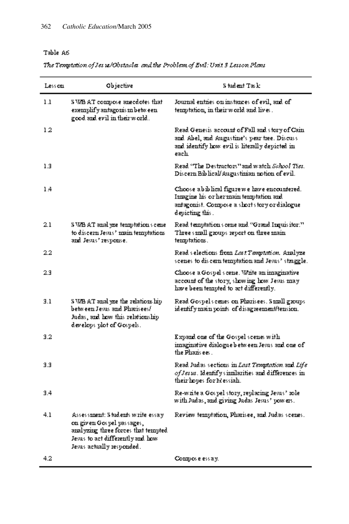The Temptation of Jes 18/Obstacles and the Problem of Evil: Unit 3 Lesson Plans

| Less con | Objective                                                                                                                                                              | S tudent Task:                                                                                                                                               |
|----------|------------------------------------------------------------------------------------------------------------------------------------------------------------------------|--------------------------------------------------------------------------------------------------------------------------------------------------------------|
| 1.1      | SMB AT compose arecdotes that<br>exemplify antagonism between<br>good and evil in their world.                                                                         | Journal entries on instances of evil, and of<br>term tation, in their world and lives.                                                                       |
| 12       |                                                                                                                                                                        | Read Genesis account of Fall and story of Cain<br>and Abel, and Augustine's pear tree. Discuss<br>and identify how evil is literally depicted in<br>each     |
| 1.3      |                                                                                                                                                                        | Read "The Destructors" and watch School <i>Tist</i> .<br>Discern Biblical/Augustinian notion of evil.                                                        |
| 14       |                                                                                                                                                                        | Choose abiblical figure we have encountered.<br>Ismagize his or her main temptation and<br>antagonist. Compose a short story or dialogue.<br>depicting this. |
| 2.1      | S MB AT anal yze temptation's cene<br>to discezzi Jesus' znaizi teznytatiozs<br>and Jesus' response.                                                                   | Read temptations cene and "Grand Inquisitor."<br>Three small groups report on three main<br>term tations.                                                    |
| 2.2      |                                                                                                                                                                        | Read selections from <i>Last Temptation</i> , Analyze<br>scenes to discern temptation and Jesus' straggle.                                                   |
| 2.3      |                                                                                                                                                                        | Choose a Gospel scene. White an imaginative<br>account of the story, showing how Jesus may<br>have been tempted to act differently.                          |
| 3.1      | S WB AT anal yze the relations hip<br>between Jesus and Pharisees/<br>Judas, and how this relationship<br>develops plot of Gospels.                                    | Read Gospels cenes on Pharisees. Simall groups<br>identify main points of disagreement/tension.                                                              |
| 3.2      |                                                                                                                                                                        | Expand one of the Gospel scenes with<br>innaginative dialogueb etween Jesus and one of<br>the Phazis ees.                                                    |
| 3.3      |                                                                                                                                                                        | Read Judas sections in Last Temptation and Life<br>of Jesus. Identify similarities and differences in<br>their hopes for Messiah.                            |
| 3.4      |                                                                                                                                                                        | Re-white a Gospel story, replacing Jesus' role<br>with Judas, and giving Judas Jesus' powers.                                                                |
| 4.1      | Assessment: Students write essay.<br>on given Gospel passages,<br>azalyzizg three forces that tempted<br>Jesus to act differently and how<br>Jesus actually responded. | Review temptation, Pharisee, and Judas scenes.                                                                                                               |
| 4.2      |                                                                                                                                                                        | Compose essay.                                                                                                                                               |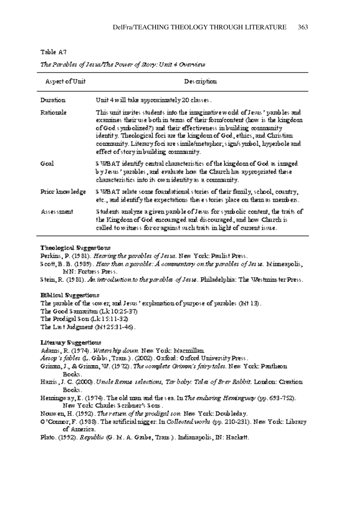|--|--|

| Aspect of Unit  | Description                                                                                                                                                                                                                                                                                                                                                                                                                         |
|-----------------|-------------------------------------------------------------------------------------------------------------------------------------------------------------------------------------------------------------------------------------------------------------------------------------------------------------------------------------------------------------------------------------------------------------------------------------|
| <b>Duzation</b> | Unit 4 will take approximately 20 classes.                                                                                                                                                                                                                                                                                                                                                                                          |
| Ratiozale       | This unit invites students into the integrinative world of Jesus' parables and<br>examines their use both in texns of their form content (how is the kingdom<br>of God symbolized?) and their effectiveness in building community<br>identify. Theological foci are the kingdom of God, ethics, and Christian<br>community. Literary foci are simile/metaphor; sign/symbol, hyperbole and<br>effect of story in building community. |
| Goal            | S WBAT identify central characteristics of the kingdom of God as integed.<br>by Jesus " parables , and evaluate how the Church has appropriated these<br>characteristics into its own identity as a contravaity.                                                                                                                                                                                                                    |
| Prior kuowledge | S WBAT relate some foundational stories of their family, school, country,<br>etc., and identify the expectations these stories place on them as members.                                                                                                                                                                                                                                                                            |
| Assessment.     | Students analyze a given parable of Jesus for symbolic content, the traits of<br>the Kingdom of God encouraged and discouraged, and how Church is<br>called to witness for or against such traits in light of current issue.                                                                                                                                                                                                        |

The Parables of Jesus/The Power of Story: Unit 4 Overview

#### Theological Suggestions

Perkins, P. (1981). Heaving the parables of Jesus. New York: Paulist Press.

 $S$  cott, B. B. (1989). Hear then a parable:  $A$  commentary on the parables of Jes is. Minneapolis, Ed N: Fortress Press.

Stein, R. (1981). An introduction to the parables of Jesus. Philadelphia: The Westminster Press.

#### Biblical Suggestions

The parable of the sow er; and Jesus ' explanation of purpose of parables (Mt 13). The Good Sanazitan (Lk 10:25-37) The Prodigal Sou (Lk 15:11-32) The Last Judgment (Edt25:31-46).

Literary Suggestions

Adams, R. (1974). Watsis hip down. New York: Edacinillan.

Assop's fables (L. Gibbs, Trans.). (2002). Oxford: Oxford University Press.

- Grisma, J., & Grisma, W. (1972). The complete Grimon's fairy tales. New York: Peatheon. Books.
- Hanis, J. C. (2000). Uncle Remie selections, Tar baby: Tales of Brev Rabbit. London: Creation Books.
- Hermingway, E. (1974). The old main and the sea. In The enduring Hemingway (pp. 693-752). New York: Charles Scribner's Sons.
- Nouwen, H. (1992). The return of the prodigal ton. New York: Doubleday.
- O'Counor, F. (1988). The artificial nigger. In Collected works (pp. 210-231). New York: Library of America.
- Plato. (1992). Republic (G. M. A. Grabe, Trazs.). Indianapolis, IN: Hackett.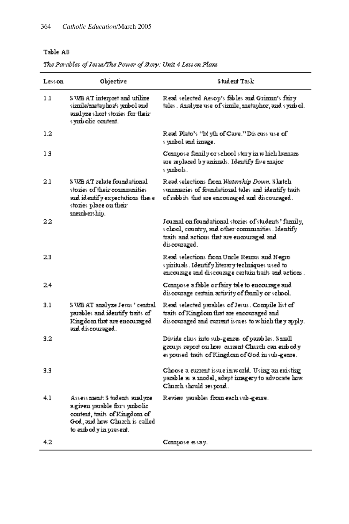### The Parables of Jesus/The Power of Story: Unit 4 Less on Plans

| Less car | Objective                                                                                                                                                  | <b>Student Task</b>                                                                                                                                                     |
|----------|------------------------------------------------------------------------------------------------------------------------------------------------------------|-------------------------------------------------------------------------------------------------------------------------------------------------------------------------|
| 1.1      | S WB AT interpret and utilize<br>siznile/znetaphoz/s yznbol azıd<br>analyze short stories for their:<br>s y <b>zab</b> olic-content.                       | Read selected Aesop's fables and Grimm's fairy<br>tales. Analyze use of simile, metaphor, and symbol.                                                                   |
| 1.2      |                                                                                                                                                            | Read Plato's ''Edyth of Cave.'' Discuss use of<br>s yanbol and iznage.                                                                                                  |
| 13       |                                                                                                                                                            | Compose family or school story in which humans<br>are replaced by animals. Identify five major:<br>s vanbols.                                                           |
| 2.1      | S WB AT relate foundational.<br>stories of their communities.<br>and identify expectations these<br>stozies place on their<br>zneznbezship.                | Read selections from Watership Down, Sketch<br>summaries of foundational tales and identify traits<br>of rabbits that are encouraged and discouraged.                   |
| 22       |                                                                                                                                                            | Jouzual on foundational stories of students' family,<br>s chool, country, and other communities. Identify<br>traits and actions that are encouraged and<br>discouzaged. |
| 2.3      |                                                                                                                                                            | Read selections from Uncle Rennas and Negro<br>spizituals . Identify literary techniques used to<br>encourage and discourage certain traits and actions .               |
| 2.4      |                                                                                                                                                            | Compose a fable or fairy tale to encourage and<br>discourage certain activity of family or school.                                                                      |
| 3.1      | S WB AT analyze Jesus ' central.<br>parables and identify traits of<br>Kingdom that are encouraged<br>and discouraged.                                     | Read selected parables of Jesus . Compile list of<br>traits of Kingdom that are encouraged and<br>discouraged and current issues to which they apply.                   |
| 3.2      |                                                                                                                                                            | Divide class into sub-genres of parables. Simall<br>groups report on how current Church can embody<br>es poused traits of Kingdom of God in sub-genre.                  |
| 3.3      |                                                                                                                                                            | Choose a current issue in world. Using an existing<br>pazable as a model, adapt imagery to advocate how<br>Charch should respond.                                       |
| 4.1      | Assessment: S tudents analyze<br>a given yazable fors ymbolic<br>content, traits of Kingdom of<br>God, and how Charch is called<br>to exdood y is present. | Review parables from each sub-geme.                                                                                                                                     |
| 4.2      |                                                                                                                                                            | Compose essay.                                                                                                                                                          |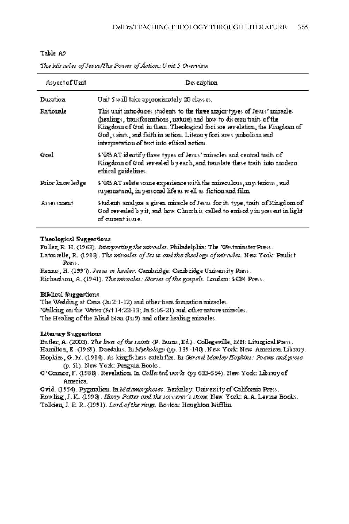| Aspect of Unit   | Des czipticai                                                                                                                                                                                                                                                                                                                                     |
|------------------|---------------------------------------------------------------------------------------------------------------------------------------------------------------------------------------------------------------------------------------------------------------------------------------------------------------------------------------------------|
| <b>Duzation</b>  | Uzit 5 will take approximately 20 class es.                                                                                                                                                                                                                                                                                                       |
| <b>Ratiozale</b> | This unit introduces students to the three major types of Jesus' miracles<br>(healings, transformations, nature) and how to discern traits of the<br>Kingdom of God in them. Theological foci are revelation, the Kingdom of<br>God, spirits, and faith in action. Literary foci are symbolism and<br>intervretation of text into ethical action. |
| Goal             | SNAB AT identify three types of Jesus' miracles and central traits of<br>Kingdom of God revealed by each, and translate these traits into modern<br>ethical guidelines.                                                                                                                                                                           |
| Prior knowledge  | S WB AT relate some experience with the mizaculous, mysterious, and<br>supernatural, in personal life as well as fiction and film.                                                                                                                                                                                                                |
| Assessznezit     | Students analyze a given miracle of Jesus for its type, traits of Kingdom of<br>God revealed b yit, and how Charch is called to embod yim present in light<br>of current issue.                                                                                                                                                                   |

The Miraelet of Jetus/The Power of Action: Unit 5 Oversiew.

#### Theological Suggestions

Fuller, R. H. (1963). Interpreting the miracles. Philadelphia: The Westeriester Press. Latouzelle, R. (1988). The worneles of Jes is and the theology of worneles. New York: Paulist Press.

Rezms, H. (1997). Jesus as healer. Cambridge: Cambridge University Press. Richardson, A. (1941). The miracles: Stories of the gospels. London: SCM Press.

### Biblical Suggestions

The Wedding at Cana (Jn 2:1-12) and other transformation miracles. Melling on the Mater (M114:22-33; Jn 6:16-21) and other nature mizacles. The Healing of the Blind Man (Ju 9) and other healing miracles.

### Literary Suggestions

Butler, A. (2003). The lives of the saints (P. Burns, Ed.). Collegeville, MN: Liturgical Press. Hasnilton, E. (1969). Daedahas. In Mychology (pp. 139-140). New York: New Asnerican Library. Hopkins, G. M. (1984). As king fishers catch fire. In Germal Manley Hopkins: Poems and prose-(p. 51). New York: Perguin Books.

O'Connor, F. (1988). Revelation. In Collected works (pp 633-654). New York: Library of Azmezica.

Ovid. (1954). Pygznalica. In Matamorphoses. Berkeley: Uzuvenity of California Press. Rowling, J. K. (1998). Harry Potter and the soveerer's stone. New York: A.A. Levine Books. Tolkien, J. R. R. (1991). Lord of the rings. Boston: Houghton Mifflin.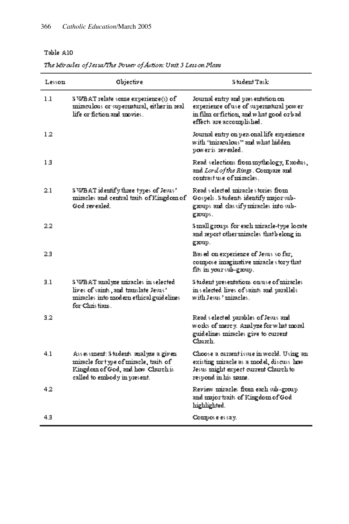| Lessoni  | Objective                                                                                                                                           | Situ devit Task:                                                                                                                                        |
|----------|-----------------------------------------------------------------------------------------------------------------------------------------------------|---------------------------------------------------------------------------------------------------------------------------------------------------------|
| 1.1      | \$ WBAT relate some experience(s) of<br>mizaculous or supernatural, either in real<br>life or fiction and movies.                                   | Jouznal entry and presentation on<br>experience of use of supernatural power<br>in film or fiction, and what good or bad.<br>effects are accormished.   |
| 12       |                                                                                                                                                     | Journal entry on yers onal life-experience<br>with "inizaculous" and what hidden<br>poweris revealed.                                                   |
| 13       |                                                                                                                                                     | Read selections from mythology, Exodus,<br>and Lord of the Rings . Compare and<br>contrast use of mizacles.                                             |
| 2.1      | SN/BAT identify three types of Jesus?<br>mizacles and central traits of Kingdom of<br>God zwealed.                                                  | Read selected anizacle stozies froan<br>Gospels. Students identify major sub-<br>groups and classify miracles into sub-<br>gxoups.                      |
| $^{2.2}$ |                                                                                                                                                     | Sanall groups for each anizable-type locate<br>and report other miracles thatbelong in<br>gxoup.                                                        |
| 2.3      |                                                                                                                                                     | Bas ed on experience of Jesus so far,<br>compose inaginative mizacles fory that<br>fits in your sub-group.                                              |
| 3.1      | S WBAT analyze mizacles in selected.<br>lives of saizds, and translate Jesus?<br>mizacles into modern ethical guidelines<br>for Christians.         | Student presentations on use of miracles<br>in selected lives of saints and parallels<br>with Jesus " mizacles .                                        |
| 3.2      |                                                                                                                                                     | Read selected parables of Jesus and<br>works of mercy. Analyze for what moral<br>guidelizes znizacles give to cuzzent<br>Church.                        |
| 4.1      | Assessment: Students analyze a given<br>mizaele for type of mizaele, tzaits of<br>Kingdom of God, and how Church is<br>called to embody in present. | Choose a current issue in world. Using an<br>existing nuizacle as a model, discuss how<br>Jesus znight expect cuzzent Chuzch to<br>respond in his name. |
| 42       |                                                                                                                                                     | Review znizacles from each sub-group<br>and major traits of Kingdom of God<br>highlighted.                                                              |
| 4.3      |                                                                                                                                                     | Compose essay.                                                                                                                                          |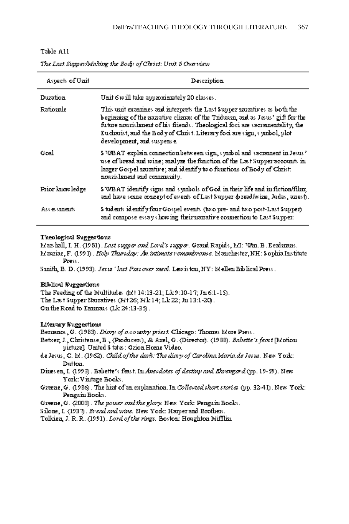### Table All

| Aspects of Unit | Description                                                                                                                                                                                                                                                                                                                                      |
|-----------------|--------------------------------------------------------------------------------------------------------------------------------------------------------------------------------------------------------------------------------------------------------------------------------------------------------------------------------------------------|
| Duzation        | Unit 6 will take approximately 20 classes.                                                                                                                                                                                                                                                                                                       |
| Ratiozale       | This unit examines and interprets the Last Supper narratives as both the<br>beginning of the namative climax of the Triduarn, and as Jesus' gift for the<br>future nourishment of his friends. Theological foci are sacramentality, the<br>Eucharist, and the Body of Christ. Literary foci are sign, symbol, plot<br>development, and suspense. |
| Geal            | S WBAT explain connection between sign, symbol and sacrament in Jesus ?<br>use of bread and wine; analyze the function of the Last Supper accounts in<br>larger Gospel recrative; and identify two functions of Body of Christ:<br>nouzishment and community.                                                                                    |
| Prior knowledge | S WBAT identify signs and symbols of God in their life and in fiction/film;<br>and have some concept of events of Last Supper (bread/wine, Judas, arrest).                                                                                                                                                                                       |
| Assessments.    | S tudents identify four Gospel events (two pre- and two post-Last Supper).<br>and compose essay's howing their naziative connection to Last Supper:                                                                                                                                                                                              |

The Last Supper/Making the Body of Christ: Unit 6 Overview

#### Theological Suggestions

Max hall, I. H. (1981). Last supper and Lord's supper. Grand Rapids, MI: Who. B. E extenses. Mauriae, F. (1991) . Holy Thursday: An imimate remembrance. Mauchester, NH: Souhia Institute

Press.

Sanith, B. D. (1993). Jesus 'last Passover meal. Lewiston, NY: Edellen Biblical Press.

#### Biblical Suggestions

The Feeding of the Etultitudes (Ett 14:13-21; Lk 9:10-17; Jn 6:1-15). The Last Supper Nazzatives (Mt26; Mk 14; Lk 22; Ju 13:1-20).

On the Road to Ennmars (Lk 24:13-35).

#### Literary Suggestions

Bernanos, G. (1983). Diary of a country priset. Chicago: Thomas More Press.

- Betxer; J., Christense, B., (Producers), & Axel, G. (Director). (1988). Babetts's feast [Edotion] picture] United S tates : Orion Home Video.
- de Jesus, C. El. (1962). Child of the dark: The dimy of Carolina Maria de Jesus. New York: Dutton.
- Dizes ezi, I. (1993). Babette's feast. In Ansodotes of destiny and Ehrengard (yy. 19-59). New York: Vintage Books.
- Greene, G. (1986). The high of an explanation. In Collected short stories (pp. 32-41). New York: Penguin Books.
- Greene, G. (2003). The power and the glory. New York: Penguin Books.
- Siloze, I. (1937). Bread and wine. New York: Harper and Brothers.

Tolkien, J. R. R. (1991). Lord of the rings. Boston: Houghton Mifflin.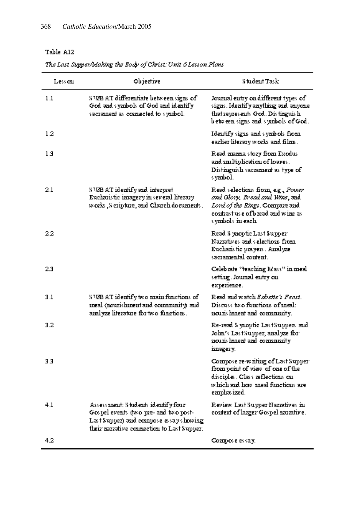### The Last Supper/Making the Body of Christ: Unit 6 Lesson Plans

| Less con | Objective                                                                                                                                                             | S tudent Task:                                                                                                                                                    |
|----------|-----------------------------------------------------------------------------------------------------------------------------------------------------------------------|-------------------------------------------------------------------------------------------------------------------------------------------------------------------|
| 1.1      | S WB AT differentiate between signs of<br>God and symbols of God and identify<br>sacrament as connected to symbol.                                                    | Journal entry on different types of<br>signs. Identify anything and anyone<br>that represents God. Distinguish<br>between signs and symbols of God.               |
| 12       |                                                                                                                                                                       | Identify signs and symbols from<br>earlier liferary works and films.                                                                                              |
| 13       |                                                                                                                                                                       | Read mama story from Exodus.<br>and multiplication of loaves.<br>Distinguish sacrament as type of<br>s yznbol.                                                    |
| 2.1      | S WB AT identify and interpret<br>Euchazistic iznagezy izi sevezal litezazy<br>works, Seripture, and Church documents.                                                | Read selections from, e.g., Power<br>and Glory, Bread and Wine, sad.<br>Lord of the Rings. Compare and<br>contrast use of bread and wine as<br>s yznbols izreach. |
| 22       |                                                                                                                                                                       | Read S ynoptic Last Supper<br>Nazzatives and selections from<br>Euchazistic prayers . Analyze<br>sacraznental content.                                            |
| 23       |                                                                                                                                                                       | Celeb zate "teaching Mass" in meal<br>setting. Journal entry on<br>experience.                                                                                    |
| 3.1      | S WB AT identify two main functions of<br>meal (nourishment and community) and<br>azalyze literature for two functions.                                               | Read and watch B <i>obetts't Fenst.</i><br>Discuss two functions of meal:<br>nouzis heneaf and connensuity.                                                       |
| 3.2      |                                                                                                                                                                       | Re-read S vacyfic LastSuppers and<br>John's LastSupper; analyze for:<br>nouzis henent and connensuity<br>imagezy.                                                 |
| 33       |                                                                                                                                                                       | Compose ze-waiting of Last Supper<br>from yount of view of one of the<br>disciples. Class reflections on<br>which and how meal functions are<br>emphas ized.      |
| 4.1      | Assessment: Students identify four-<br>Gos pel events (two pre- and two post-<br>Last Supper) and compose essays howing<br>their recordive connection to Last Supper. | Review Last Supper Narmiives in<br>context of larger Gospel narrative.                                                                                            |
| 4.2      |                                                                                                                                                                       | Commose essay.                                                                                                                                                    |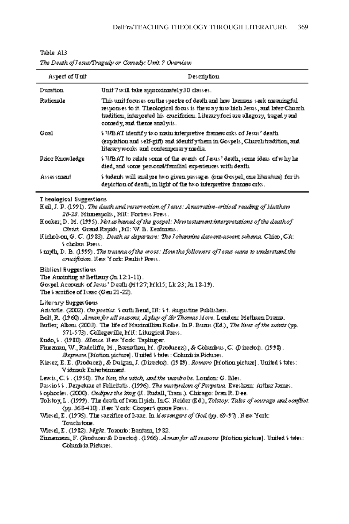|       |     | r |
|-------|-----|---|
| `able |     | r |
|       | . . |   |
|       |     |   |

The Death of I esus/Tragedy or Comedy: Unit ? Overview

| Aspect of Unit   | Description                                                                                                                                                                                                                                                                  |
|------------------|------------------------------------------------------------------------------------------------------------------------------------------------------------------------------------------------------------------------------------------------------------------------------|
| Duration         | Unit 7 will take approximately 30 classes.                                                                                                                                                                                                                                   |
| <b>Rationale</b> | This unit focuses on the spectre of death and how humans seek meaningful<br>responses to it. Theological focus is the way in which Jesus, and later Church.<br>tradition, interpreted his crucifixion. Literary foci are allegory, tragedy and<br>comedy, and theme analysis |
| Goal             | S V/BAT identify two main interpretive frameworks of Jesus' death.<br>(explation and self-giff) and identify them in Gospels, Church tradition, and<br>literaryworks and contennyorary media.                                                                                |
| Pzior Kuowledze  | \$ WBAT to relate some of the events of Jesus' death, some ideas of why he<br>died, and some personal/familial experiences with death.                                                                                                                                       |
| Assessment       | ) judents will analyze two given passages (one Gospel, one literature) for its<br>depiction of deafh, in light of the two interpretive frameworks.                                                                                                                           |

Theological Suggestions

H eil, J. P. (1991) . The death and resurrection of I esus: A narrative-critical reading of Matthew 25-28. Minneapolis, MR: Fortress Press.

Hooker, D. M. (1995). Not us humal of the gospel: Newtestumant interpretations of the death of Christ. Grand Rayids , MI: W. B. Eeximans.

 $\delta$  myth, D. B. (1999). The trainwa of the aross: How the followers of I estis came to understand the erneifixion. Hew York: Paulist Press.

Biblical Suggestions

The Amointing at Bethamy (Jn 12:1-11).

Gospel Accounts of Jesus' Death (F1+27; F1k15; Lk 23; Jn 18-19).

- The Vaccifice of Issue (Gen. 21-22).
- Liferary Suggestions
- Azistotle. (2002). On posties. Voutli Bend, IH: Vt. Augustine Publishers.

Bolt, R. (1960). A man for all seasons, A play of Sir Thomas More. London: Fiethuen Dzena.

Bufler; Alban. (2003). The life of Maximillian Kolbe. In P. Buzns (Ed.), The lives of the subits (pp. 571-573). Collegeville, MII: Liturgical Press.

Endo, V. (1980). Slance. Hew York: Taplinger.

Finemum, W., Radcliffe, M., Barnathan, M. (Producers), & Columbus, C. (Director). (1998). Stepwow. [Ffotion picture]. United \$ tates : Cohanbia Pictures..

Kieser, E. E. (Producer), & Duigan, J. (Director). (1989). Romero [Notion picture]. United States: V idnærk Eutertainment.

Lewis, C.S. (1950). The lion, the witch, and the wardrobe. Loudou: G. Bles.

Passio VV. Perpetuae et Felicitatis. (1996). The martyrdom of Perpetua. Eveslient: Arthur James.

- Sophocles. (2000). Osclipus the king (R. Rudall, Trais.). Chicago: Ivan R. Dee.
- Tolstoy, L. (1999). The death of Ivan Hyich. InC. Heider (Ed.), Tolstoy: Tales of courage and conflict (pp. 368-410). Hew York: Cooper's quare Press.
- Vhesel, E. (1976). The sacrifice of Isaac. In Massengers of God (pp. 69-97). Hew York: Touchstone.
- VAesel, E. (1982). Might. Toxonio: Bantam, 1982.
- Zinnenmann, F. (Producer & Director). (1966). A mass for all seasons [Frotion picture]. United \ tates: Columb is Pictures.

Hicholson, G. C. (1983). Death as departure: The Lohannine descent-ascent schema. Chico, Ch: Scholars Press.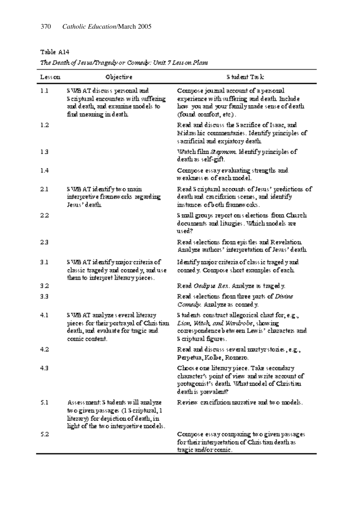| The Death of Jetus/Tragedy or Comedy: Unit 7 Lett on Plant |  |  |  |  |
|------------------------------------------------------------|--|--|--|--|
|                                                            |  |  |  |  |

| Less con | Objective                                                                                                                                                    | Student Task                                                                                                                                                        |
|----------|--------------------------------------------------------------------------------------------------------------------------------------------------------------|---------------------------------------------------------------------------------------------------------------------------------------------------------------------|
| 1.1      | S MB AT discuss personal and<br>S eziptuzal excounters with suffering<br>and death, and examine models to<br>find meaning in death.                          | Compose journal account of a personal<br>experience with suffering and death. Inchade<br>how you and your family made sense of death.<br>(found comfort, etc.).     |
| $1.2\,$  |                                                                                                                                                              | Read and discuss the Sacrifice of Isaac, and,<br>Midzashie connuentaries. Identify principles of<br>s acrificial and expiatory death.                               |
| 13       |                                                                                                                                                              | Watch film <i>Stepmo</i> m. Identify principles of<br>death as self-gift.                                                                                           |
| 1.4      |                                                                                                                                                              | Compose essay evaluating strengths and<br>weakness es of each model.                                                                                                |
| 2.1      | S VSB AT identify two main.<br>interpretive frameworks regarding<br>Jesus' death.                                                                            | Read S criptural accounts of Jesus' predictions of .<br>death and cracifixion scenes, and identify<br>instances of both frameworks.                                 |
| 22       |                                                                                                                                                              | S mall groups report on selections from Church.<br>documents and liturgies. Which models are<br>used?                                                               |
| 23       |                                                                                                                                                              | Read selections from epistles and Revelation.<br>Analyze authors' interpretation of Jesus' death.                                                                   |
| 3.1      | S WB AT identify major criteria of<br>classic tragedy and connedy, and use<br>them to interpret literary pieces.                                             | Identify major criteria of class ic traged y and<br>comedy. Compose short examples of each.                                                                         |
| 32       |                                                                                                                                                              | Read <i>Osdipus Rex.</i> Analyze as tragedy.                                                                                                                        |
| 3.3      |                                                                                                                                                              | Read selections from three parts of <i>Distins</i><br>Comedy, Aralyze as cornedy.                                                                                   |
| 4.1      | S VAB AT-azalyze s evezal litezazy<br>pieces for their portrayal of Christian<br>death, and evaluate for tragic and<br>conic content.                        | S tudents construct allegorical chart for, e.g.,<br>Lion, Witch, and Wardrobs, showing<br>correspondence between Lewis' characters and<br>S criptural figures.      |
| 4.2      |                                                                                                                                                              | Read and discuss several martyrstories, e.g.,<br>Perpetua, Kolbe, Romezo.                                                                                           |
| 4.3      |                                                                                                                                                              | Choose one literary piece. Take secondary.<br>character's point of view and write account of<br>protagonist's death. What model of Christian<br>death is prevalent? |
| 5.1      | Assessment: S tudents will analyze.<br>two given passages (1 S criptural, 1<br>litezarv) for deviction of death, in<br>light of the two interpretive models. | Review cracifixion recrative and two models.                                                                                                                        |
| 5.2      |                                                                                                                                                              | Compose essay companing two given passages.<br>for their interpretation of Christian death as<br>tragic and/or comic.                                               |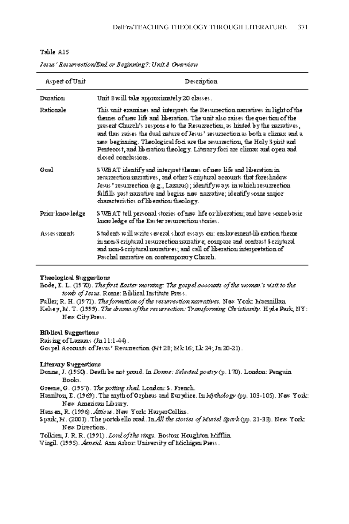|--|--|

| Aspect of Unit   | Description                                                                                                                                                                                                                                                                                                                                                                                                                                                                                                    |
|------------------|----------------------------------------------------------------------------------------------------------------------------------------------------------------------------------------------------------------------------------------------------------------------------------------------------------------------------------------------------------------------------------------------------------------------------------------------------------------------------------------------------------------|
| Duzation         | Unit 8 will take approximately 20 classes.                                                                                                                                                                                                                                                                                                                                                                                                                                                                     |
| <b>Ratiozale</b> | This unit examines and interprets the Resurrection narratives in light of the<br>themes of new life and liberation. The unit also raises the question of the<br>yresent Charch's response to the Resumection, as hinted by the narratives,<br>and thus zaises the dual rature of Jesus' resurrection as both a climax and a<br>new beginning. Theological foci are the resurrection, the Holy S uirit and<br>Perfecost, and liberation theology. Literary foci are climax and open and<br>closed correlasions. |
| Goal             | S WBAT identify and intervret themes of new life and liberation in .<br>resurrection narratives, and other's criptural accounts that foreshadow<br>Jesus " resumention (e.g., Lazarus) ; identify ways in which resumention.<br>fulfills past nazzative and begins new nazzative; identify some major:<br>characteristics of liberation theology.                                                                                                                                                              |
| Prior knowledge  | S WBAT tell personal stories of new life or liberation; and have some basic.<br>knowledge of the Easter resurrection stories.                                                                                                                                                                                                                                                                                                                                                                                  |
| Assessments.     | S tudents will write's everal short essays on: enslavement-liberation thenne<br>in non-Seriptural resurrection namative; connoare and, contrast Seriptural<br>and non-Seriptural narratives; and call of liberation interpretation of a<br>Paschal razzative on contenuozary Charch.                                                                                                                                                                                                                           |

Jetut' Returnection/End or Beginning?: Unit & Overview

#### Theological Suggestions

Bode, E. L. (1970). The first Easter morning: The gospel accounts of the women's wisit to the tomb of Jesus. Rome: Biblical Institute Press.

Fuller, R. H. (1971). The formation of the returnection narratives. New York: Macmillan. F.elsey, E.I. T. (1999). The drama of the resurrection: Transforming Christianity. Hyde Park, NY:

New City Press.

### **Biblical Suggestions**

Raising of Lazams (Jul 1:1-44). Gospel Accounts of Jesus' Resumection (Mt 28; Mk 16; Lk 24; Jn 20-21).

#### **Literary Suggestions**

- Donne, J. (1950). Death be not proud. In *Donne: Selected poetry* (p. 170). London: Penguin Books.
- Greene, G. (1957). The potting shed London: S. French.
- Haznilton, E. (1969). The anyth of Orpheus and Eurydice. In Mothology (pp. 103-105). New York: New American Library.

Hans en, R. (1996). Atticus. New York: HarperCollins.

Spazk, El. (2001). The postobello soad. In All the stories of Muriel Spark (pp. 21-33). New York: New Directions.

Tolkien, J. R. R. (1991). Lord of the rings. Boston: Houghton Mifflin.

Vizgil. (1995). Asnsid. Azm Azboz: University of Michigan Press.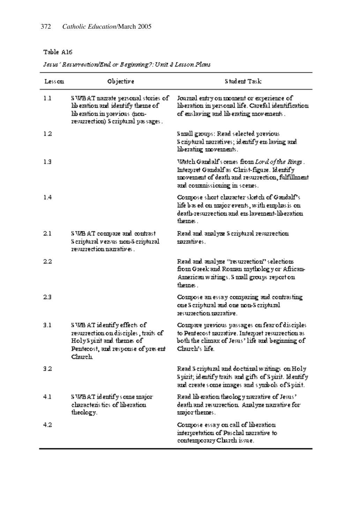### Jetut' Returnection/End or Beginning?: Unit & Letton Plant

| Less con | Objective                                                                                                                                               | Student Task:                                                                                                                                                                     |
|----------|---------------------------------------------------------------------------------------------------------------------------------------------------------|-----------------------------------------------------------------------------------------------------------------------------------------------------------------------------------|
| 1.1      | SN/BAT mazzate personal stories of<br>lib ezation and identify theme of<br>lib ezation in previous <i>(</i> non-<br>resurrection) S criptural passages. | Journal entry on moment or experience of<br>liberation in personal life. Careful identification<br>of easlaving and liberating movements.                                         |
| 12       |                                                                                                                                                         | Samall gaoups: Read selected previous<br>S eziptural narratives; identify enslaving and<br>liberating movements.                                                                  |
| 1.3      |                                                                                                                                                         | Watch Gandalf's cenes from Lord of the Rings .<br>Interpret Gandalf as Christ-figure. Identify<br>movement of death and resurrection, fulfillment<br>and commussioning in scenes. |
| 1.4      |                                                                                                                                                         | Compose short character sketch of Gaudalf's<br>life based on major events, with emphasis on<br>death-resurrection and ens laverneut-liberation.<br>theznes.                       |
| 2.1      | S WB AT compare and contrast<br>S eziptuzal versus mon-S eziptuzal<br>zesuzzection nazzatives .                                                         | Read and analyze S criptural resurrection.<br>razzatives.                                                                                                                         |
| 2.2      |                                                                                                                                                         | Read and analyze "resurrection" selections<br>from Greek and Roman mythology or African-<br>American writings. Small groups report on<br>thernes.                                 |
| 2.3      |                                                                                                                                                         | Compose an essay comparing and contrasting<br>one S criptural and one non-S criptural<br>resurrection recrative.                                                                  |
| 3.1      | S WB AT identify effects of<br>resurrection on disciples, traits of<br>Holy Spirit and themes of<br>Pentecost, and response of present<br>Church        | Compare previous passages on fear of disciples<br>to Pentecost nazzative. Interpret resurrection as<br>both the clisnax of Jesus' life and beginning of<br>Chuzeh's life l        |
| 32       |                                                                                                                                                         | Read Scriptural and doctrinal writings on Holy<br>Spizit; identify traits and gifts of Spizit. Identify<br>and creates onne innages and symbols of Spirit.                        |
| 4.1      | S WBAT identifys cane major:<br>characteristics of liberation.<br>theology.                                                                             | Read lib eration theology narrative of Jesus '<br>death and resurrection. Analyze nazrative for:<br>major themes.                                                                 |
| 4.2      |                                                                                                                                                         | Compose essay on call of liberation<br>interpretation of Paschal narrative to<br>contemporary Charch issue.                                                                       |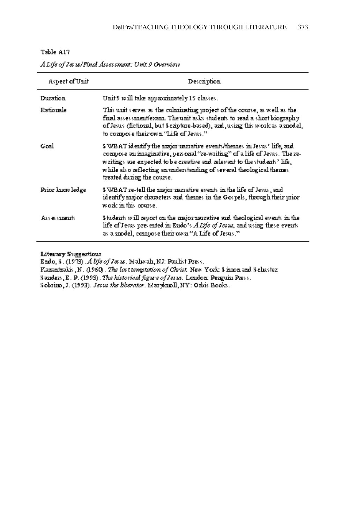| Aspect of Unit   | Description                                                                                                                                                                                                                                                                                                                           |
|------------------|---------------------------------------------------------------------------------------------------------------------------------------------------------------------------------------------------------------------------------------------------------------------------------------------------------------------------------------|
| Duzation         | Unit 9 will take approximately 15 classes.                                                                                                                                                                                                                                                                                            |
| Ratiozale        | This unit serves as the culminating project of the course, as well as the<br>fixal assessment/exam. The unit asks students to read a short biography.<br>of Jesus (fictional, but S cripture-based), and, using this work as a model,<br>to compose their own "Life of Jesus."                                                        |
| Gral             | S WBAT identify the major narrative events/themes in Jesus' life, and<br>compose an imaginative, personal "re-writing" of a life of Jesus. The re-<br>writings are expected to be creative and relevant to the students' life,<br>while also reflecting an understanding of several theological thermes<br>treated during the course. |
| Prior kuow ledge | S WBAT re-tell the major marative events in the life of Jesus , and<br>identify major characters and themes in the Gospels, through their prior<br>work in this course.                                                                                                                                                               |
| Assessments.     | Students will report on the major narrative and theological events in the<br>life of Jesus presented in Endo's A Life of Jesus, and using these events<br>as a model, compose their own "A Life of Jesus."                                                                                                                            |

A Life of Jes 18/Final Assessment: Unit 9 Overview

**Literary Suggestions** 

Endo, S. (1973). A life of Jesus. Mahwah, NJ: Paulist Press.

Kazautzakis, N. (1960). The last temptation of Christ. New York: Sinnon and Schuster:

Sanders, E. P. (1993). The historical figure of Jesus. London: Penguin Press.

Sobrizo, J. (1993). Jesus the liberator. Marylanoll, NY: Orbis Books.